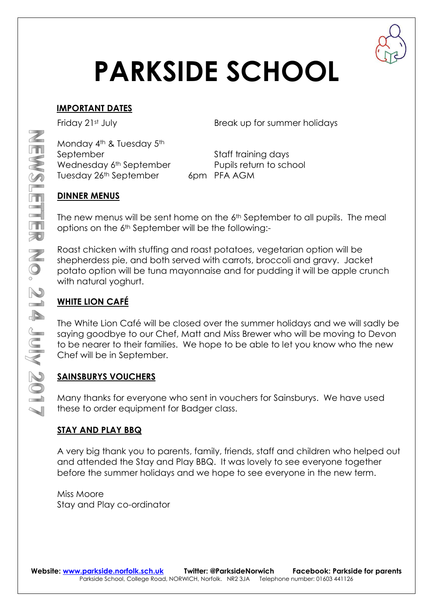

# **PARKSIDE SCHOOL**

#### **IMPORTANT DATES**

Friday 21st July **Break** up for summer holidays

Monday 4<sup>th</sup> & Tuesday 5<sup>th</sup> September September Staff training days Wednesday 6<sup>th</sup> September Pupils return to school Tuesday 26<sup>th</sup> September 6pm PFA AGM

#### **DINNER MENUS**

The new menus will be sent home on the  $6<sup>th</sup>$  September to all pupils. The meal options on the 6th September will be the following:-

Roast chicken with stuffing and roast potatoes, vegetarian option will be shepherdess pie, and both served with carrots, broccoli and gravy. Jacket potato option will be tuna mayonnaise and for pudding it will be apple crunch with natural yoghurt.

### **WHITE LION CAFÉ**

The White Lion Café will be closed over the summer holidays and we will sadly be saying goodbye to our Chef, Matt and Miss Brewer who will be moving to Devon to be nearer to their families. We hope to be able to let you know who the new Chef will be in September.

#### **SAINSBURYS VOUCHERS**

Many thanks for everyone who sent in vouchers for Sainsburys. We have used these to order equipment for Badger class.

#### **STAY AND PLAY BBQ**

A very big thank you to parents, family, friends, staff and children who helped out and attended the Stay and Play BBQ. It was lovely to see everyone together before the summer holidays and we hope to see everyone in the new term.

Miss Moore Stay and Play co-ordinator